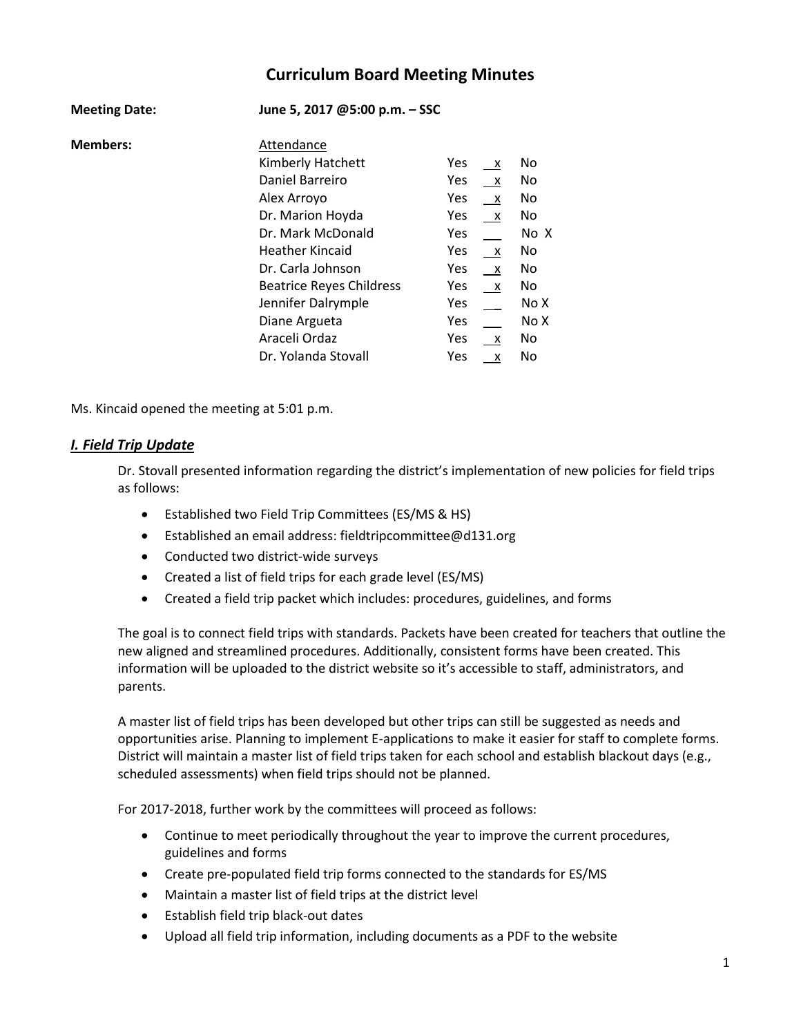# **Curriculum Board Meeting Minutes**

| <b>Meeting Date:</b> | June 5, 2017 @5:00 p.m. - SSC   |            |                           |      |
|----------------------|---------------------------------|------------|---------------------------|------|
| <b>Members:</b>      | Attendance                      |            |                           |      |
|                      | Kimberly Hatchett               | <b>Yes</b> | х                         | No   |
|                      | Daniel Barreiro                 | <b>Yes</b> | X                         | No   |
|                      | Alex Arroyo                     | Yes        | $\boldsymbol{\mathsf{x}}$ | No   |
|                      | Dr. Marion Hoyda                | Yes        | $\boldsymbol{\mathsf{x}}$ | No   |
|                      | Dr. Mark McDonald               | Yes        |                           | No X |
|                      | <b>Heather Kincaid</b>          | Yes        | X                         | No   |
|                      | Dr. Carla Johnson               | Yes        | X                         | No   |
|                      | <b>Beatrice Reyes Childress</b> | Yes        | $\mathsf{X}$              | No.  |
|                      | Jennifer Dalrymple              | Yes        |                           | No X |
|                      | Diane Argueta                   | Yes        |                           | No X |
|                      | Araceli Ordaz                   | Yes        | $\mathsf{X}$              | No   |
|                      | Dr. Yolanda Stovall             | Yes        | x                         | No   |

Ms. Kincaid opened the meeting at 5:01 p.m.

# *I. Field Trip Update*

Dr. Stovall presented information regarding the district's implementation of new policies for field trips as follows:

- Established two Field Trip Committees (ES/MS & HS)
- Established an email address: fieldtripcommittee@d131.org
- Conducted two district-wide surveys
- Created a list of field trips for each grade level (ES/MS)
- Created a field trip packet which includes: procedures, guidelines, and forms

The goal is to connect field trips with standards. Packets have been created for teachers that outline the new aligned and streamlined procedures. Additionally, consistent forms have been created. This information will be uploaded to the district website so it's accessible to staff, administrators, and parents.

A master list of field trips has been developed but other trips can still be suggested as needs and opportunities arise. Planning to implement E-applications to make it easier for staff to complete forms. District will maintain a master list of field trips taken for each school and establish blackout days (e.g., scheduled assessments) when field trips should not be planned.

For 2017-2018, further work by the committees will proceed as follows:

- Continue to meet periodically throughout the year to improve the current procedures, guidelines and forms
- Create pre-populated field trip forms connected to the standards for ES/MS
- Maintain a master list of field trips at the district level
- Establish field trip black-out dates
- Upload all field trip information, including documents as a PDF to the website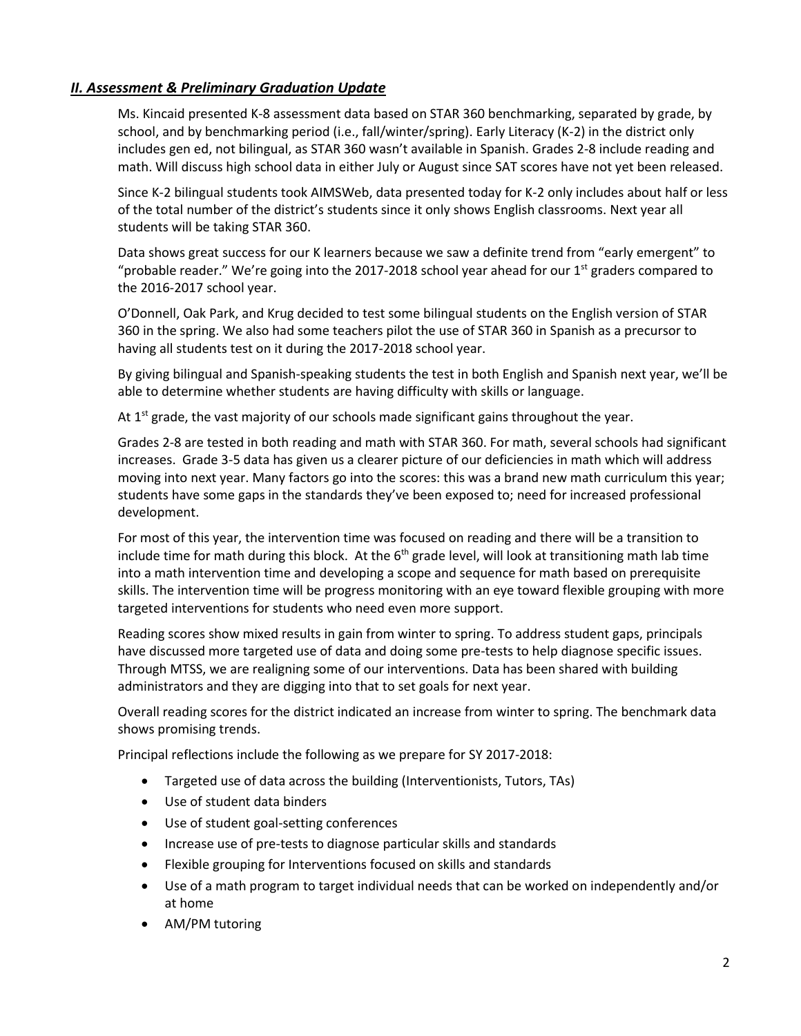# *II. Assessment & Preliminary Graduation Update*

Ms. Kincaid presented K-8 assessment data based on STAR 360 benchmarking, separated by grade, by school, and by benchmarking period (i.e., fall/winter/spring). Early Literacy (K-2) in the district only includes gen ed, not bilingual, as STAR 360 wasn't available in Spanish. Grades 2-8 include reading and math. Will discuss high school data in either July or August since SAT scores have not yet been released.

Since K-2 bilingual students took AIMSWeb, data presented today for K-2 only includes about half or less of the total number of the district's students since it only shows English classrooms. Next year all students will be taking STAR 360.

Data shows great success for our K learners because we saw a definite trend from "early emergent" to "probable reader." We're going into the 2017-2018 school year ahead for our 1<sup>st</sup> graders compared to the 2016-2017 school year.

O'Donnell, Oak Park, and Krug decided to test some bilingual students on the English version of STAR 360 in the spring. We also had some teachers pilot the use of STAR 360 in Spanish as a precursor to having all students test on it during the 2017-2018 school year.

By giving bilingual and Spanish-speaking students the test in both English and Spanish next year, we'll be able to determine whether students are having difficulty with skills or language.

At  $1<sup>st</sup>$  grade, the vast majority of our schools made significant gains throughout the year.

Grades 2-8 are tested in both reading and math with STAR 360. For math, several schools had significant increases. Grade 3-5 data has given us a clearer picture of our deficiencies in math which will address moving into next year. Many factors go into the scores: this was a brand new math curriculum this year; students have some gaps in the standards they've been exposed to; need for increased professional development.

For most of this year, the intervention time was focused on reading and there will be a transition to include time for math during this block. At the  $6<sup>th</sup>$  grade level, will look at transitioning math lab time into a math intervention time and developing a scope and sequence for math based on prerequisite skills. The intervention time will be progress monitoring with an eye toward flexible grouping with more targeted interventions for students who need even more support.

Reading scores show mixed results in gain from winter to spring. To address student gaps, principals have discussed more targeted use of data and doing some pre-tests to help diagnose specific issues. Through MTSS, we are realigning some of our interventions. Data has been shared with building administrators and they are digging into that to set goals for next year.

Overall reading scores for the district indicated an increase from winter to spring. The benchmark data shows promising trends.

Principal reflections include the following as we prepare for SY 2017-2018:

- Targeted use of data across the building (Interventionists, Tutors, TAs)
- Use of student data binders
- Use of student goal-setting conferences
- Increase use of pre-tests to diagnose particular skills and standards
- Flexible grouping for Interventions focused on skills and standards
- Use of a math program to target individual needs that can be worked on independently and/or at home
- AM/PM tutoring